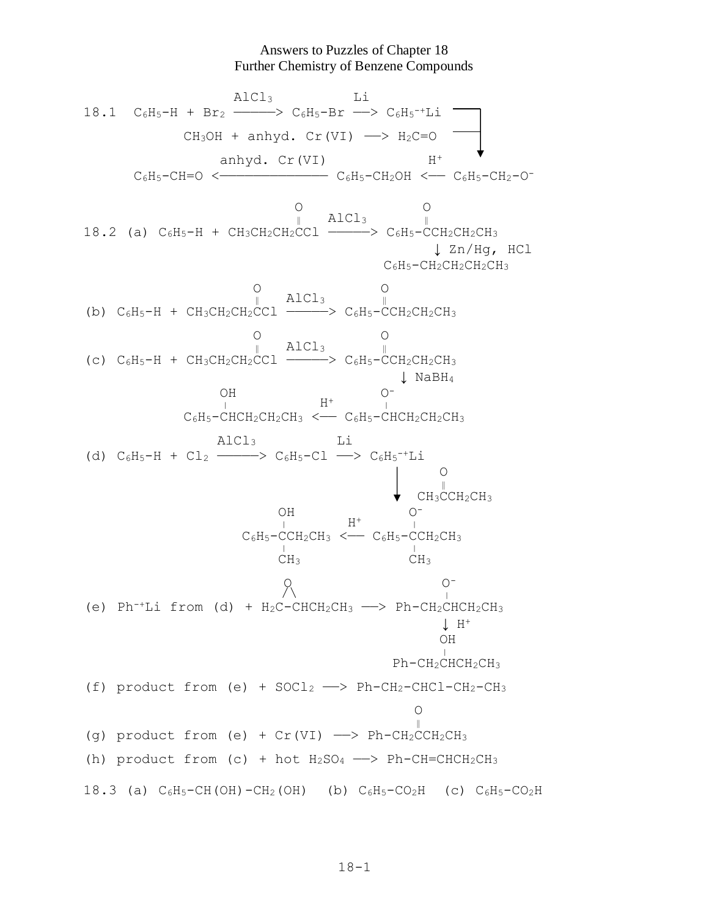## Answers to Puzzles of Chapter 18 Further Chemistry of Benzene Compounds

 AlCl3 Li  $18.1 \quad C_6H_5-H + Br_2 \longrightarrow C_6H_5-Br \longrightarrow C_6H_5^{-+}Li$  $CH_3OH$  + anhyd.  $Cr(VI)$   $\longrightarrow$   $H_2C=O$ anhyd. Cr(VI) H<sup>+</sup> C6H5-CH=O <————————————— C6H5-CH2OH <—— C6H5-CH2-O- O O  $\parallel$  AlCl<sub>3</sub> 18.2 (a)  $C_6H_5-H + CH_3CH_2CH_2CCl$  ---->  $C_6H_5-CCH_2CH_2CH_3$  ↓ Zn/Hg, HCl C6H5-CH2CH2CH2CH<sup>3</sup>  $\begin{array}{ccc} 0 & 0 \\ 0 & 0 \end{array}$  $\begin{matrix} 0 & & & & 0 \\ \parallel & & \texttt{AlCl}_3 & & \parallel \end{matrix}$ (b)  $C_6H_5-H + CH_3CH_2CH_2CCl$  ———>  $C_6H_5-CCH_2CH_2CH_3$  O O  $\parallel$  AlCl<sub>3</sub>  $\parallel$ (c)  $C_6H_5-H + CH_3CH_2CH_2CCl$  ------>  $C_6H_5-CCH_2CH_2CH_3$  ↓ NaBH<sup>4</sup> OH O<sup>-</sup>  $\frac{1}{1}$  H<sup>+</sup>  $\frac{1}{1}$  $C_6H_5-CHCH_2CH_2CH_3 \leftarrow C_6H_5-CHCH_2CH_2CH_3$  AlCl3 Li (d)  $C_6H_5-H + C1_2$  ---->  $C_6H_5-C1$  ->  $C_6H_5$ <sup>-+</sup>Li <u>and the contract of the contract of the contract of the contract of the contract of the contract of the contract of the contract of the contract of the contract of the contract of the contract of the contract of the contr</u>  $\begin{array}{c}\n\parallel \\
\bullet \\
\end{array} \quad \begin{array}{c}\n\parallel \\
\text{CH}_3\text{CCH}_2\text{CH}_3\n\end{array}$  OH O-  $\frac{1}{1}$   $\qquad$   $\qquad$   $\qquad$   $\qquad$   $\qquad$   $\qquad$   $\qquad$   $\qquad$   $\qquad$   $\qquad$   $\qquad$   $\qquad$   $\qquad$   $\qquad$   $\qquad$   $\qquad$   $\qquad$   $\qquad$   $\qquad$   $\qquad$   $\qquad$   $\qquad$   $\qquad$   $\qquad$   $\qquad$   $\qquad$   $\qquad$   $\qquad$   $\qquad$   $\qquad$   $\qquad$   $\qquad$   $\qquad$   $\qquad$   $\qquad$   $C_6H_5-CCH_2CH_3$  <  $-C_6H_5-CCH_2CH_3$  $\frac{1}{\sqrt{11}} \frac{1}{\sqrt{11}}$ CH<sub>3</sub> CH<sub>3</sub> O O-  $\frac{1}{\sqrt{2}}$ (e) Ph<sup>-+</sup>Li from (d) +  $H_2C$ -CHC $H_2CH_3$  --> Ph-C $H_2CHCH_2CH_3$  $\downarrow$  H<sup>+</sup> OH  $\sim$   $\sim$  Ph-CH2CHCH2CH<sup>3</sup> (f) product from (e) +  $SOCI_2 \longrightarrow Ph-CH_2-CHCl-CH_2-CH_3$  O ‖ (q) product from (e) +  $Cr(VI)$  ->  $Ph-CH_2CCH_2CH_3$ (h) product from (c) + hot  $H_2SO_4 \longrightarrow Ph-CH=CHCH_2CH_3$ 18.3 (a)  $C_6H_5-CH(OH)-CH_2(OH)$  (b)  $C_6H_5-CO_2H$  (c)  $C_6H_5-CO_2H$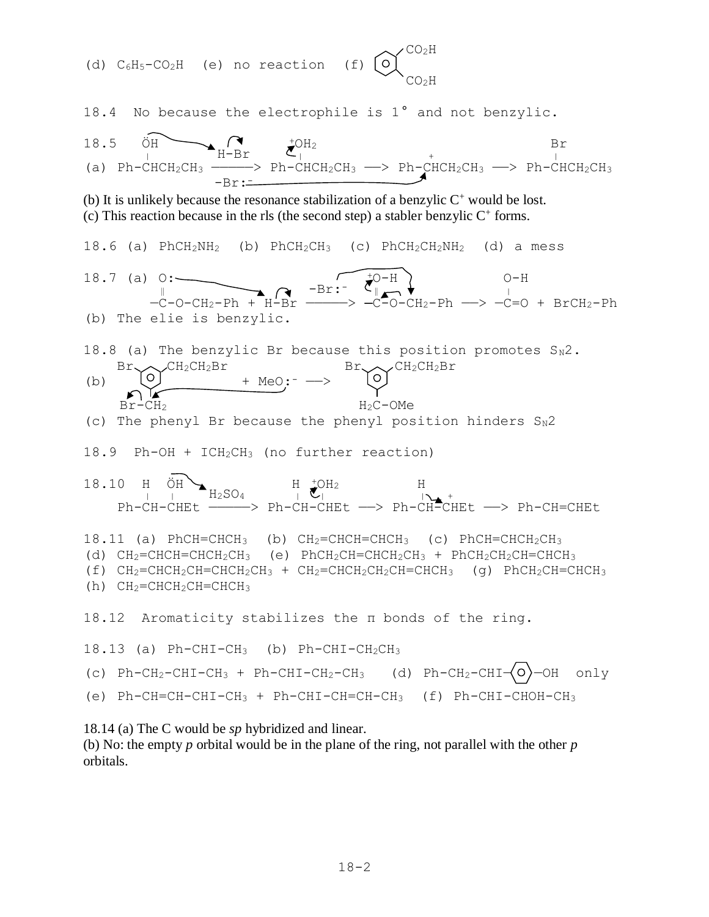$\sim$ /CO<sub>2</sub>H (d) C6H5-CO2H (e) no reaction (f)  $\sim$   $_{CO_2H}$ 18.4 No because the electrophile is 1° and not benzylic. 18.5 ÖH $\bigodot$   $\bigodot$   $\bigodot$   $\bigodot$  $H-Br$   $\mathcal{L}_{\vert}^{max}$  +  $\vert$ (a)  $Ph-CHCH_2CH_3 \longrightarrow ph-CHCH_2CH_3 \longrightarrow Ph-CHCH_2CH_3 \longrightarrow ph-CHCH_2CH_3$  $-Br:=$ (b) It is unlikely because the resonance stabilization of a benzylic  $C^+$  would be lost.  $(c)$  This reaction because in the rls (the second step) a stabler benzylic  $C^+$  forms. 18.6 (a) PhCH<sub>2</sub>NH<sub>2</sub> (b) PhCH<sub>2</sub>CH<sub>3</sub> (c) PhCH<sub>2</sub>CH<sub>2</sub>NH<sub>2</sub> (d) a mess 18.7 (a)  $0:$   $\longrightarrow$  0-H ‖ -Br:- ‖ <sup>|</sup>  $-\text{C}-\text{O-CH}_2-\text{Ph}$  +  $\text{H-Br}$  ————>  $-\text{C-O-CH}_2-\text{Ph}$  —>  $-\text{C=O}$  +  $\text{BrCH}_2-\text{Ph}$ (b) The elie is benzylic. 18.8 (a) The benzylic Br because this position promotes  $S_N2$ .  $Br \sim \mathcal{C}H_2CH_2Br$   $Br \sim \mathcal{C}H_2CH_2Br$ (b)  $\cup$  + MeO: - ->  $Br-CH<sub>2</sub>$   $H<sub>2</sub>C-OMe$ (c) The phenyl Br because the phenyl position hinders  $S_N 2$ 18.9 Ph-OH + ICH2CH<sup>3</sup> (no further reaction) 18.10 H  $\ddot{\text{OH}}$  H  $_{\bullet}$  H  $_{\bullet}$  OH<sub>2</sub> H  $\frac{10.10 \text{ H}}{1 \text{ H}} \text{ H}_2\text{SO}_4$   $\frac{10.10 \text{ H}}{1 \text{ H}} \text{ H}_1$  Ph-CH-CHEt —————> Ph-CH-CHEt ——> Ph-CH-CHEt ——> Ph-CH=CHEt 18.11 (a) PhCH=CHCH<sub>3</sub> (b) CH<sub>2</sub>=CHCH=CHCH<sub>3</sub> (c) PhCH=CHCH<sub>2</sub>CH<sub>3</sub> (d)  $CH_2=CHCH=CHCH_2CH_3$  (e) PhCH<sub>2</sub>CH=CHCH<sub>2</sub>CH<sub>3</sub> + PhCH<sub>2</sub>CH<sub>2</sub>CH=CHCH<sub>3</sub> (f)  $CH_2=CHCH_2CH=CHCH_2CH_3 + CH_2=CHCH_2CH=CHCH_3$  (g) PhCH<sub>2</sub>CH=CHCH<sub>3</sub> (h) CH2=CHCH2CH=CHCH<sup>3</sup> 18.12 Aromaticity stabilizes the π bonds of the ring. 18.13 (a) Ph-CHI-CH3 (b) Ph-CHI-CH2CH<sup>3</sup> (c) Ph-CH<sub>2</sub>-CHI-CH<sub>3</sub> + Ph-CHI-CH<sub>2</sub>-CH<sub>3</sub> (d) Ph-CH<sub>2</sub>-CHI- $\langle$ O $\rangle$ -OH only (e)  $Ph-CH=CH-CH_3 + Ph-CHI-CH=CH-CH_3$  (f)  $Ph-CHI-CHOH-CH_3$ 

18.14 (a) The C would be *sp* hybridized and linear.

(b) No: the empty *p* orbital would be in the plane of the ring, not parallel with the other *p* orbitals.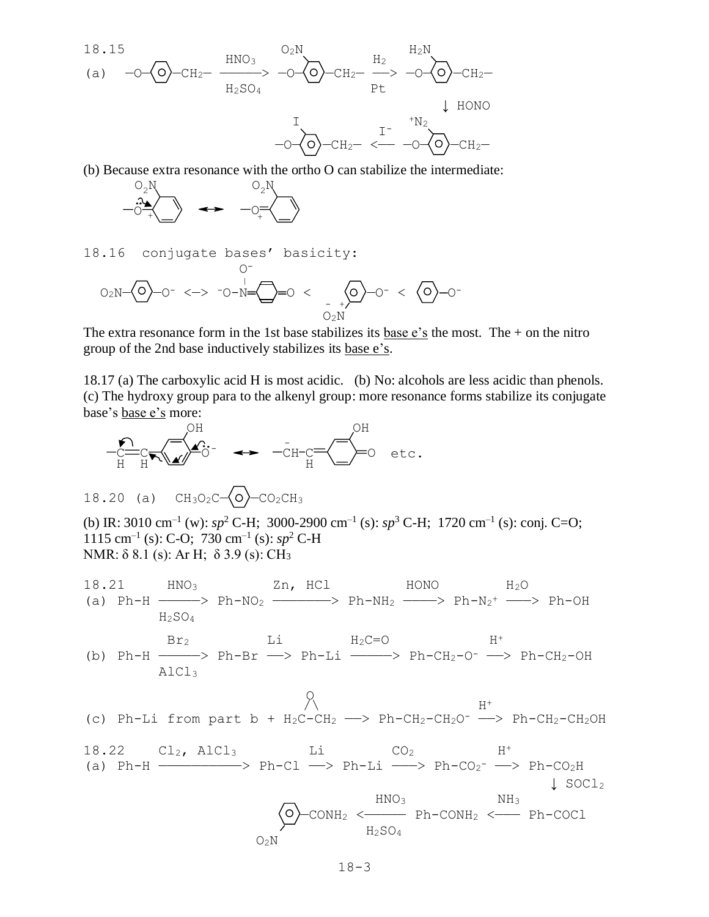18.15  
\n(a) 
$$
-O\left(O\right)-CH_2-\frac{HNO_3}{H_2SO_4} > -O\left(O\right)-CH_2-\frac{H_2}{Pt} > -O\left(O\right)-CH_2-\frac{I}{Pt}
$$
  
\n $1$   
\n $1$   
\n $-O\left(O\right)-CH_2-\frac{I}{CH_2} < -O\left(O\right)-CH_2-\frac{I}{Pt}$ 

(b) Because extra resonance with the ortho O can stabilize the intermediate:



18.16 conjugate bases' basicity:

$$
O_{2}N-\bigodot-O^{-}<-&\neg O-N=\bigodot-O^{-}<\bigodot_{-+/-}^{+}-O^{-}<\bigodot_{O_{2}N}^{+}-O^{-}<\bigodot_{O_{2}N}^{+}-O^{-}<\bigodot_{O_{2}N}^{+}-O^{-}<\bigodot_{O_{2}N}^{+}-O^{-}<\bigodot_{O_{2}N}^{+}-O^{-}<\bigodot_{O_{2}N}^{+}-O^{-}<\bigodot_{O_{2}N}^{+}-O^{-}<\bigodot_{O_{2}N}^{+}-O^{-}<\bigodot_{O_{2}N}^{+}-O^{-}<\bigodot_{O_{2}N}^{+}-O^{-}<\bigodot_{O_{2}N}^{+}-O^{-}<\bigodot_{O_{2}N}^{+}-O^{-}<\bigodot_{O_{2}N}^{+}-O^{-}<\bigodot_{O_{2}N}^{+}-O^{-}<\bigodot_{O_{2}N}^{+}-O^{-}<\bigodot_{O_{2}N}^{+}-O^{-}<\bigodot_{O_{2}N}^{+}-O^{-}<\bigodot_{O_{2}N}^{+}-O^{-}<\bigodot_{O_{2}N}^{+}-O^{-}<\bigodot_{O_{2}N}^{+}-O^{-}<\bigodot_{O_{2}N}^{+}-O^{-}<\bigodot_{O_{2}N}^{+}-O^{-}<\bigodot_{O_{2}N}^{+}-O^{-}<\bigodot_{O_{2}N}^{+}-O^{-}<\bigodot_{O_{2}N}^{+}-O^{-}<\bigodot_{O_{2}N}^{+}-O^{-}<\bigodot_{O_{2}N}^{+}-O^{-}<\bigodot_{O_{2}N}^{+}-O^{-}<\bigodot_{O_{2}N}^{+}-O^{-}<\bigodot_{O_{2}N}^{+}-O^{-}<\bigodot_{O_{2}N}^{+}-O^{-}<\bigodot_{O_{2}N}^{+}-O^{-}<\bigodot_{O_{2}N}^{+}-O^{-}<\bigodot_{O_{2}N}^{+}-O^{-}<\bigodot_{O_{2}N}^{+}-O^{-}<\bigodot_{O_{2}N}^{+}-O^{-}<\bigodot_{O_{2}N}^{+}-O^{-}<\bigodot_{O_{2}N}^{+}-O^{-}<\bigodrod_{O_{2}N}^{+}-O^{-}<\bigodrod_{O_{2}N}^{+}-O^{-}<\bigodrod_{O_{2}N}^{+}-O^{-}<\bigodrod_{O_{2}N}^{+}-O^{-}<\bigodrod_{
$$

The extra resonance form in the 1st base stabilizes its base  $e$ 's the most. The  $+$  on the nitro group of the 2nd base inductively stabilizes its base e's.

18.17 (a) The carboxylic acid H is most acidic. (b) No: alcohols are less acidic than phenols. (c) The hydroxy group para to the alkenyl group: more resonance forms stabilize its conjugate base's base e's more:



18.20 (a) 
$$
CH_3O_2C \rightarrow O_2CH_3
$$

(b) IR: 3010 cm<sup>-1</sup> (w):  $sp^2$  C-H; 3000-2900 cm<sup>-1</sup> (s):  $sp^3$  C-H; 1720 cm<sup>-1</sup> (s): conj. C=O; 1115 cm<sup>-1</sup> (s): C-O; 730 cm<sup>-1</sup> (s):  $sp^2$  C-H NMR: δ 8.1 (s): Ar H; δ 3.9 (s): CH<sup>3</sup>

18.21 HNO<sub>3</sub> 2n, HCl HONO 3 H<sub>2</sub>O  
(a) Ph-H 
$$
\longrightarrow
$$
 Ph-NO<sub>2</sub> 2n, HCl HONO 3  
H<sub>2</sub>SO<sub>4</sub> 2n, HCl HONO 3  
2n, HCl HONO 4  
2n, HONO 5  
2n, HCO 6  
2n, HCO 7  
2n, HCO 7  
2n, HCO 8  
2n, HCO 8  
2n, HCO 8  
2n, HCO 8  
2n, HCO 8  
2n, HCO 8  
2n, HCO 9  
2n, HCO 9  
2n, HCO 9  
2n, HCO 9  
2n, HCO 9  
2n, HCO 9  
2n, HCO 9  
2n, HCO 9  
2n, HCO 9  
2n, HCO 9  
2n, HCO 9  
2n, HCO 9  
2n, HCO 9  
2n, HCO 9  
2n, HCO 9  
2n, HCO 9  
2n, HCO 9  
2n, HCO 9  
2n, HCO 9  
2n, HCO 9  
2n, HCO 9  
2n, HCO 9  
2n, HCO 9  
2n, HCO 9  
2n, HCO 9  
2n, HCO 9  
2n, HCO 9  
2n, HCO 9  
2n, HCO 9  
2n, HCO 9  
2n, HCO 9  
2n, HCO 9  
2n, HCO 9  
2n, HCO 9  
2n, HCO 9  
2n, HCO 9  
2n, HCO 9  
2n, HCO 9  
2n, HCO 9  
2n, HCO 9  
2n, HCO 9  
2n, HCO 9  
2n, HCO 9  
2n, HCO 9  
2n, HCO 9  
2n, HCO 9  
2n, HCO 9  
2n, HCO 9  
3n, HCO 9  
3n, HCO 9  
4n, HCO 9  
4n, HCO 9  
3n, HCO 9  
4n, HCO 9  
4n, HCO 9  
3n, HCO 9  
4n, HCO 9  
4n, HCO 9  
3n, HCO 9  
4n, HCO 9  
4n, HCO 9  
4n, HCO 9  
4n, HCO 9  
4n,

 $Br_2$  Li  $H_2C=O$  H<sup>+</sup> (b) Ph-H  $\longrightarrow$  Ph-Br  $\longrightarrow$  Ph-Li  $\longrightarrow$  Ph-CH<sub>2</sub>-O<sup>-</sup>  $\longrightarrow$  Ph-CH<sub>2</sub>-OH AlCl<sup>3</sup>

<u>on a strategic and a strategic and a strategic and a strategic and a strategic and a strategic and a strategic</u>  $\bigwedge$ (c) Ph-Li from part b +  $H_2C-CH_2$  -> Ph-C $H_2-CH_2O^-$  -> Ph-C $H_2-CH_2OH$ 

18.22 
$$
Cl_2
$$
, AlCl<sub>3</sub> Li  $CO_2$  H<sup>+</sup> (a) Ph-H  $\xrightarrow{\text{Ph}-H} \xrightarrow{\text{Ph}-Cl} \xrightarrow{\text{Ph}-Li} \xrightarrow{\text{Ph}-CO_2^-} \xrightarrow{\text{Ph}-CO_2H} \downarrow \text{SOCl}_2$ \n $\xrightarrow{\text{HNO}_3} \text{h} \xrightarrow{\text{NH}_3} \text{Ph}-\text{COII}$ \n $O_2N$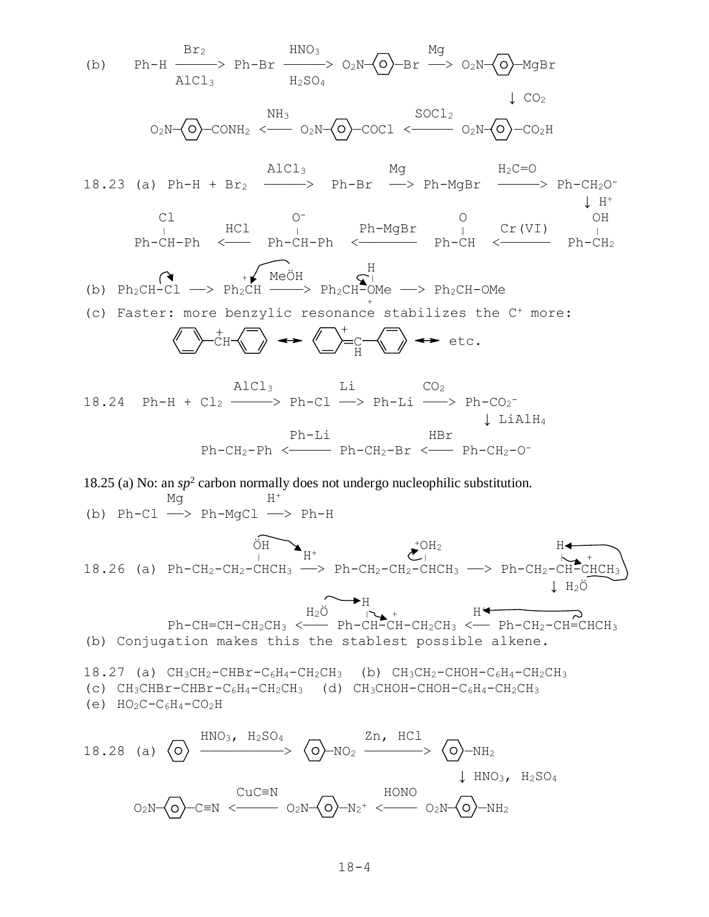(b) 
$$
Ph - H \xrightarrow{Br_2} Ph - Br \xrightarrow{HNO_3} O_2N-Q
$$
— $S_2N-Q$ — $O_2N-Q$ — $Mg$ — $O_2N-Q$ — $O_2N-Q$ — $O_2N-Q$ — $O_2N-Q$ — $O_2N-Q$ — $O_2N-Q$ — $O_2N-Q$ — $O_2N-Q$ — $O_2N-Q$ — $O_2N-Q$ — $O_2N-Q$ — $O_2N-Q$ — $O_2N-Q$ — $O_2N-Q$ — $O_2N-Q$ — $O_2N-Q$ — $O_2N-Q$ — $O_2N-Q$ — $O_2N-Q$ — $O_2N-Q$ — $O_2N-Q$ — $O_2N-Q$ — $O_2N-Q$ — $O_2N-Q$ — $O_2N-Q$ — $O_2N-Q$ — $O_2N-Q$ — $O_2N-Q$ — $O_2N-Q$ — $O_2N-Q$ — $O_2N-Q$ — $O_2N-Q$ — $O_2N-Q$ — $O_2N-Q$ — $O_2N-Q$ — $O_2N-Q$ — $O_2N-Q$ — $O_2N-Q$ — $O_2N-Q$ — $O_2N-Q$ — $O_2N-Q$ — $O_2N-Q$ — $O_2N-Q$ — $O_2N-Q$ — $O_2N-Q$ —<math display="inline</p>

(e)  $HO_2C-C_6H_4-CO_2H$ 

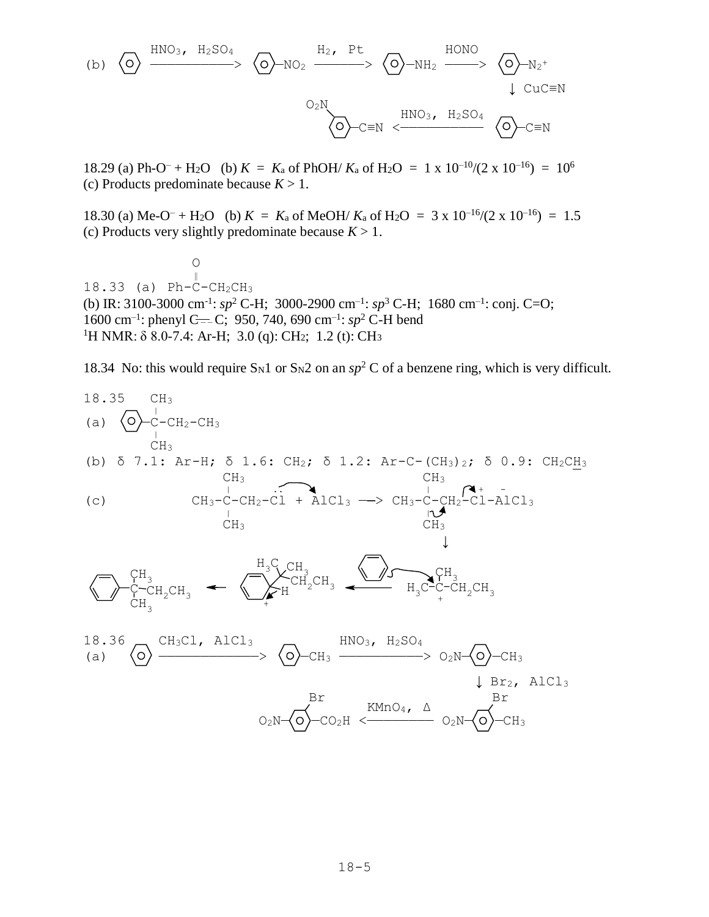(b) 
$$
\overline{O}
$$
  $\xrightarrow{HNO_3, H_2SO_4}$   $\overline{O}$   $\rightarrow NO_2$   $\xrightarrow{H_2, Pt}$   $\overline{O}$   $\rightarrow NH_2$   $\xrightarrow{HONO}$   $\overline{O}$   $\rightarrow N_2^+$   $\downarrow$  CuC=N  $\overline{O}$   $\xrightarrow{CUC \equiv N}$   $\overline{O}$   $\overline{C}$   $\xrightarrow{HNO_3, H_2SO_4}$   $\overline{O}$   $\overline{C}$   $\equiv N$ 

18.29 (a) Ph-O<sup>–</sup> + H<sub>2</sub>O (b)  $K = K_a$  of PhOH/  $K_a$  of H<sub>2</sub>O = 1 x 10<sup>-10</sup>/(2 x 10<sup>-16</sup>) = 10<sup>6</sup> (c) Products predominate because  $K > 1$ .

18.30 (a) Me-O<sup>–</sup> + H<sub>2</sub>O (b)  $K = K_a$  of MeOH/  $K_a$  of H<sub>2</sub>O = 3 x 10<sup>-16</sup>/(2 x 10<sup>-16</sup>) = 1.5 (c) Products very slightly predominate because  $K > 1$ .

**O** ‖ 18.33 (a) Ph-C-CH2CH<sup>3</sup> (b) IR: 3100-3000 cm<sup>-1</sup>:  $sp^2$  C-H; 3000-2900 cm<sup>-1</sup>:  $sp^3$  C-H; 1680 cm<sup>-1</sup>: conj. C=O; 1600 cm<sup>-1</sup>: phenyl C=-C; 950, 740, 690 cm<sup>-1</sup>: sp<sup>2</sup> C-H bend <sup>1</sup>H NMR:  $\delta$  8.0-7.4: Ar-H; 3.0 (q): CH<sub>2</sub>; 1.2 (t): CH<sub>3</sub>

18.34 No: this would require S<sub>N1</sub> or S<sub>N2</sub> on an  $sp^2$  C of a benzene ring, which is very difficult.

18.35 CH<sub>3</sub>  
\n(a) 
$$
\bigodot -C - CH_2 - CH_3
$$
  
\n $\bigodot H_3$   
\n(b) 5 7.1: Ar-H; 5 1.6: CH<sub>2</sub>; 5 1.2: Ar-C- (CH<sub>3</sub>)<sub>2</sub>; 5 0.9: CH<sub>2</sub>CH<sub>3</sub>  
\nCH<sub>3</sub>  
\n $\bigodot H_3$   
\n $\bigodot H_3$   
\n $\bigodot H_3$   
\n $\bigodot H_3$   
\n $\bigodot H_3$   
\n $\bigodot H_3$   
\n $\bigodot H_3$   
\n $\bigodot H_3$   
\n $\bigodot H_3$   
\n $\bigodot H_3$   
\n $\bigodot H_3$   
\n $\bigodot H_2CH_3$   
\n $\bigodot H_2CH_3$   
\n $\bigodot H_2CH_3$   
\n $\bigodot H_2CH_3$   
\n $\bigodot H_2CH_3$   
\n $\bigodot H_2CH_3$   
\n $\bigodot H_2CH_3$   
\n $\bigodot H_2SO_4$   
\n $\bigodot H_2SO_4$   
\n $\bigodot H_2SO_4$   
\n $\bigodot H_2SO_4$   
\n $\bigodot H_2$   
\n $\bigodot H_3$   
\n $\bigodot H_2SO_4$   
\n $\bigodot H_2$   
\n $\bigodot H_3$   
\n $\bigodot H_2$   
\n $\bigodot H_3$   
\n $\bigodot H_2$   
\n $\bigodot H_3$   
\n $\bigodot H_2$   
\n $\bigodot H_3$   
\n $\bigodot H_2$   
\n $\bigodot H_3$   
\n $\bigodot H_2$   
\n $\bigodot H_3$   
\n $\bigodot H_2$   
\n $\bigodot H_3$   
\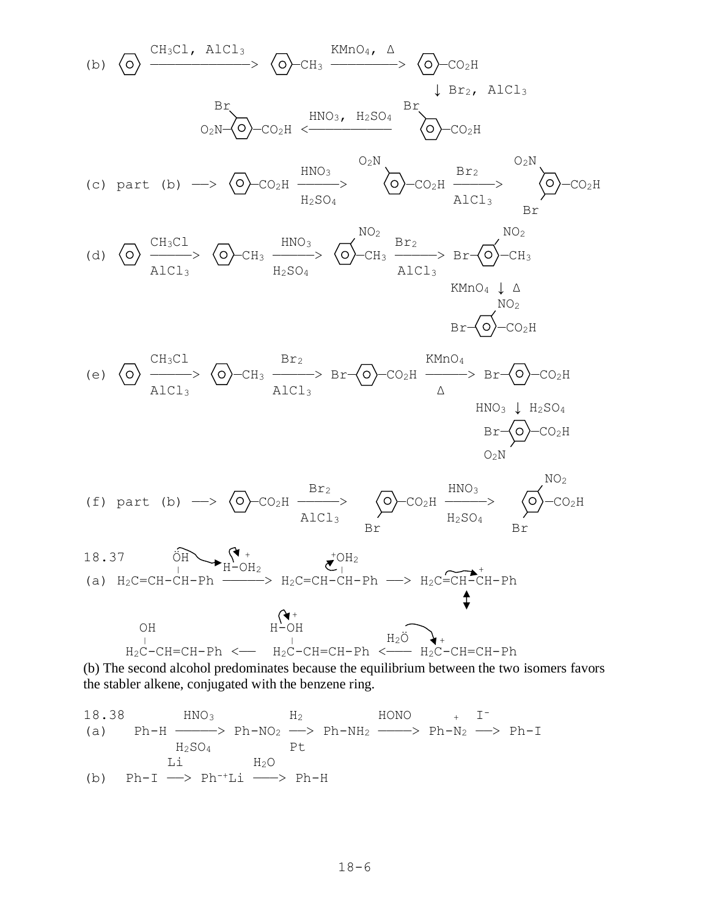(b) 
$$
\overline{O} \xrightarrow{CH_3CL} A1CL_3
$$
  
\n $\overline{O}_2$ CH<sub>3</sub>  $\xrightarrow{HMO_4, \Delta}$   
\n $\overline{O}_2$ CH<sub>3</sub>  $\xrightarrow{HNO_3, H_2SO_4}$   
\n $\overline{O}_2$ CH<sub>2H</sub>  $\xrightarrow{HCO_3, H_2SO_4}$   
\n(c) part (b)  $\longrightarrow$   $\overline{O}$  -CO<sub>2H</sub>  $\xrightarrow{HMO_3}$   
\n $\overline{O}_2$ CH<sub>2H</sub>  $\xrightarrow{Br_2}$   
\n(d)  $\overline{O}$   $\overline{C}$ H<sub>3</sub>Cl<sub>3</sub>  
\n(e)  $\overline{O}$   $\overline{C}$ H<sub>3</sub>Cl<sub>3</sub>  
\n(f) part (b)  $\longrightarrow$   $\overline{O}$  -CH<sub>3</sub>  $\xrightarrow{Br_2}$   
\n $\overline{C}$   $\overline{C}$   $\overline{C}$   $\overline{C}$   $\overline{C}$   $\overline{C}$   $\overline{C}$   $\overline{C}$   $\overline{C}$   $\overline{C}$   $\overline{C}$   $\overline{C}$   $\overline{C}$   $\overline{C}$   $\overline{C}$   $\overline{C}$   $\overline{C}$   $\overline{C}$   $\overline{C}$   $\overline{C}$   $\overline{C}$   $\overline{C}$   $\overline{C}$   $\overline{C}$   $\overline{C}$   $\overline{C}$   $\overline{C}$   $\overline{C}$   $\overline{C}$   $\overline{C}$   $\overline{C}$   $\overline{C}$   $\overline{C}$   $\overline{C}$   $\overline{C}$   $\overline{C}$   $\overline{C}$   $\overline{C}$   $\overline{C}$   $\overline$ 

(b) The second alcohol predominates because the equilibrium between the two isomers favors the stabler alkene, conjugated with the benzene ring.

18.38 
$$
HNO_3
$$
  $H_2$   $HONO$   $+$  I<sup>-</sup>  $(a)$   $Ph-H$   $\xrightarrow{H_2SO_4}$   $Pt$   $H_2$   $+$   $H_2SO_4$   $Pt$   $Li$   $H_2O$   $(b)$   $Ph-I$   $\longrightarrow$   $Ph+Li$   $\longrightarrow$   $Ph-H$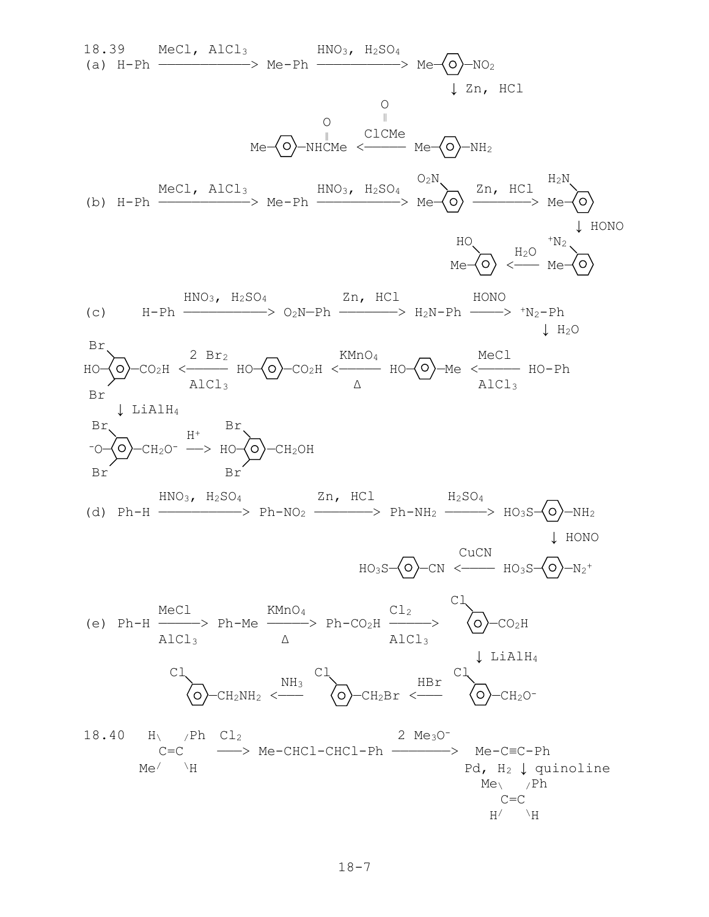